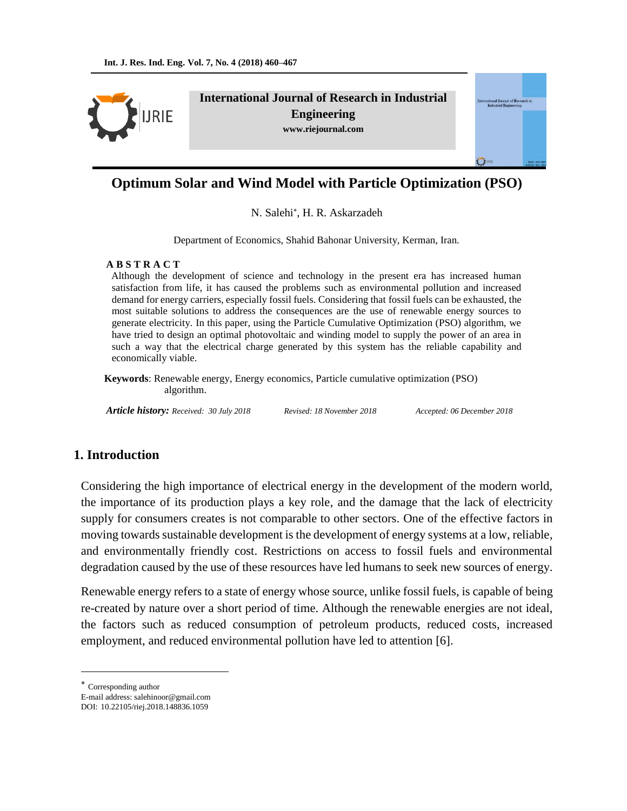**JRIE** 

**International Journal of Research in Industrial Engineering www.riejournal.com**

# **Optimum Solar and Wind Model with Particle Optimization (PSO)**

N. Salehi\*, H. R. Askarzadeh

Department of Economics, Shahid Bahonar University, Kerman, Iran.

#### **A B S T R A C T**

 Although the development of science and technology in the present era has increased human satisfaction from life, it has caused the problems such as environmental pollution and increased demand for energy carriers, especially fossil fuels. Considering that fossil fuels can be exhausted, the most suitable solutions to address the consequences are the use of renewable energy sources to generate electricity. In this paper, using the Particle Cumulative Optimization (PSO) algorithm, we have tried to design an optimal photovoltaic and winding model to supply the power of an area in such a way that the electrical charge generated by this system has the reliable capability and economically viable.

 **Keywords**: Renewable energy, Energy economics, Particle cumulative optimization (PSO) algorithm.

*Article history: Received: 30 July 2018 Revised: 18 November 2018 Accepted: 06 December 2018*

ul of Res

# **1. Introduction**

Considering the high importance of electrical energy in the development of the modern world, the importance of its production plays a key role, and the damage that the lack of electricity supply for consumers creates is not comparable to other sectors. One of the effective factors in moving towards sustainable development is the development of energy systems at a low, reliable, and environmentally friendly cost. Restrictions on access to fossil fuels and environmental degradation caused by the use of these resources have led humans to seek new sources of energy.

Renewable energy refers to a state of energy whose source, unlike fossil fuels, is capable of being re-created by nature over a short period of time. Although the renewable energies are not ideal, the factors such as reduced consumption of petroleum products, reduced costs, increased employment, and reduced environmental pollution have led to attention [6].

 $\overline{a}$ 

Corresponding author

E-mail address: salehinoor@gmail.com

DOI: 10.22105/riej.2018.148836.1059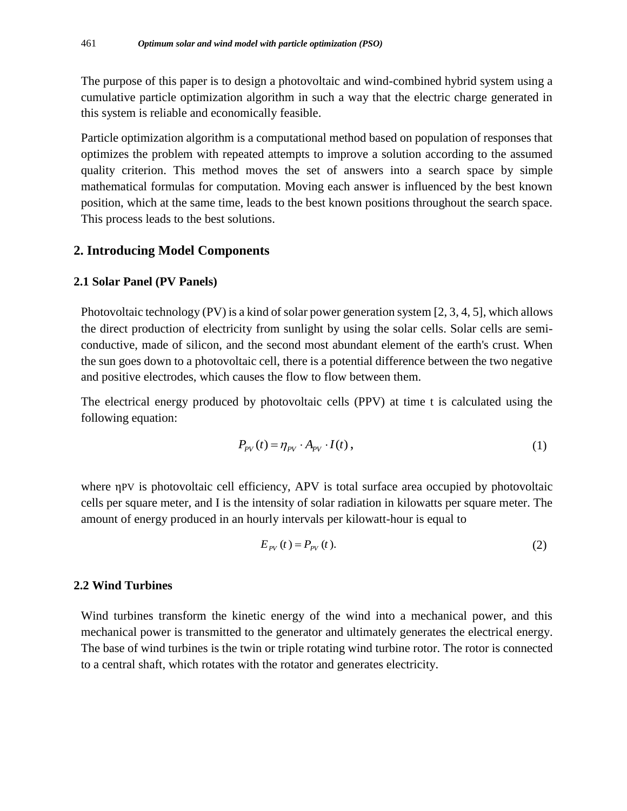The purpose of this paper is to design a photovoltaic and wind-combined hybrid system using a cumulative particle optimization algorithm in such a way that the electric charge generated in this system is reliable and economically feasible.

Particle optimization algorithm is a computational method based on population of responses that optimizes the problem with repeated attempts to improve a solution according to the assumed quality criterion. This method moves the set of answers into a search space by simple mathematical formulas for computation. Moving each answer is influenced by the best known position, which at the same time, leads to the best known positions throughout the search space. This process leads to the best solutions.

## **2. Introducing Model Components**

#### **2.1 Solar Panel (PV Panels)**

Photovoltaic technology (PV) is a kind of solar power generation system [2, 3, 4, 5], which allows the direct production of electricity from sunlight by using the solar cells. Solar cells are semiconductive, made of silicon, and the second most abundant element of the earth's crust. When the sun goes down to a photovoltaic cell, there is a potential difference between the two negative and positive electrodes, which causes the flow to flow between them.

The electrical energy produced by photovoltaic cells (PPV) at time t is calculated using the following equation:

$$
P_{\scriptscriptstyle PV}(t) = \eta_{\scriptscriptstyle PV} \cdot A_{\scriptscriptstyle PV} \cdot I(t) \,,\tag{1}
$$

where ηPV is photovoltaic cell efficiency, APV is total surface area occupied by photovoltaic cells per square meter, and I is the intensity of solar radiation in kilowatts per square meter. The amount of energy produced in an hourly intervals per kilowatt-hour is equal to

$$
E_{\scriptscriptstyle PV}(t) = P_{\scriptscriptstyle PV}(t). \tag{2}
$$

## **2.2 Wind Turbines**

Wind turbines transform the kinetic energy of the wind into a mechanical power, and this mechanical power is transmitted to the generator and ultimately generates the electrical energy. The base of wind turbines is the twin or triple rotating wind turbine rotor. The rotor is connected to a central shaft, which rotates with the rotator and generates electricity.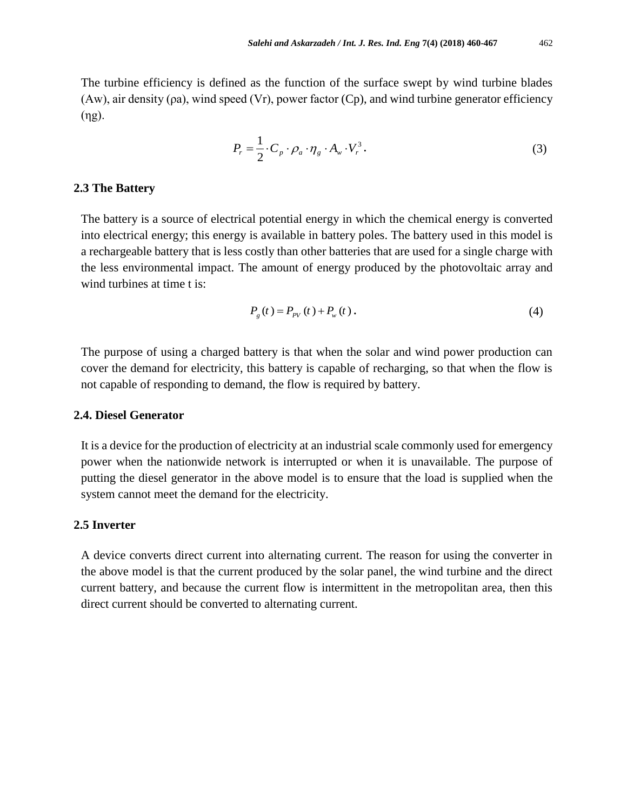The turbine efficiency is defined as the function of the surface swept by wind turbine blades (Aw), air density (pa), wind speed (Vr), power factor (Cp), and wind turbine generator efficiency (ηg).

$$
P_r = \frac{1}{2} \cdot C_p \cdot \rho_a \cdot \eta_g \cdot A_w \cdot V_r^3. \tag{3}
$$

#### **2.3 The Battery**

The battery is a source of electrical potential energy in which the chemical energy is converted into electrical energy; this energy is available in battery poles. The battery used in this model is a rechargeable battery that is less costly than other batteries that are used for a single charge with the less environmental impact. The amount of energy produced by the photovoltaic array and wind turbines at time t is:

$$
P_g(t) = P_{p_V}(t) + P_w(t).
$$
 (4)

The purpose of using a charged battery is that when the solar and wind power production can cover the demand for electricity, this battery is capable of recharging, so that when the flow is not capable of responding to demand, the flow is required by battery.

## **2.4. Diesel Generator**

It is a device for the production of electricity at an industrial scale commonly used for emergency power when the nationwide network is interrupted or when it is unavailable. The purpose of putting the diesel generator in the above model is to ensure that the load is supplied when the system cannot meet the demand for the electricity.

### **2.5 Inverter**

A device converts direct current into alternating current. The reason for using the converter in the above model is that the current produced by the solar panel, the wind turbine and the direct current battery, and because the current flow is intermittent in the metropolitan area, then this direct current should be converted to alternating current.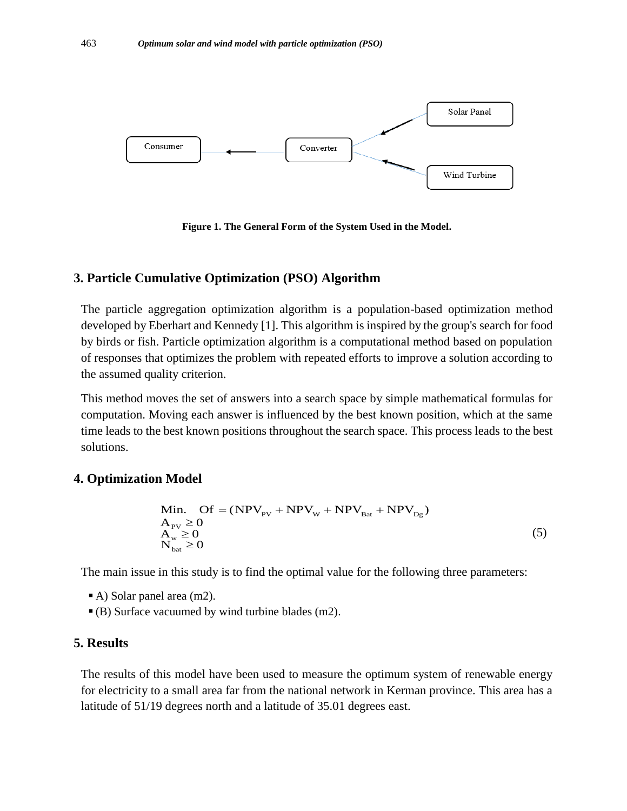

**Figure 1. The General Form of the System Used in the Model.**

## **3. Particle Cumulative Optimization (PSO) Algorithm**

The particle aggregation optimization algorithm is a population-based optimization method developed by Eberhart and Kennedy [1]. This algorithm is inspired by the group's search for food by birds or fish. Particle optimization algorithm is a computational method based on population of responses that optimizes the problem with repeated efforts to improve a solution according to the assumed quality criterion.

This method moves the set of answers into a search space by simple mathematical formulas for computation. Moving each answer is influenced by the best known position, which at the same time leads to the best known positions throughout the search space. This process leads to the best solutions.

## **4. Optimization Model**

$$
\begin{aligned}\n\text{Model} \\
\text{Min.} \quad \text{Of} &= (\text{NPV}_{\text{PV}} + \text{NPV}_{\text{W}} + \text{NPV}_{\text{Bat}} + \text{NPV}_{\text{Dg}}) \\
\text{A}_{\text{PV}} &\geq 0 \\
\text{A}_{\text{w}} &\geq 0 \\
\text{N}_{\text{bat}} &\geq 0\n\end{aligned} \tag{5}
$$

The main issue in this study is to find the optimal value for the following three parameters:

- A) Solar panel area (m2).
- (B) Surface vacuumed by wind turbine blades (m2).

## **5. Results**

The results of this model have been used to measure the optimum system of renewable energy for electricity to a small area far from the national network in Kerman province. This area has a latitude of 51/19 degrees north and a latitude of 35.01 degrees east.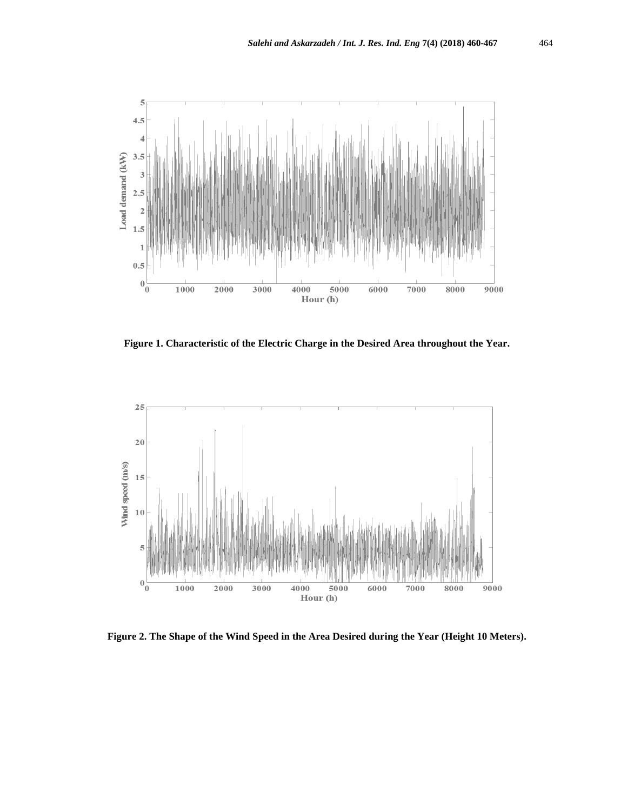

**Figure 1. Characteristic of the Electric Charge in the Desired Area throughout the Year.**



**Figure 2. The Shape of the Wind Speed in the Area Desired during the Year (Height 10 Meters).**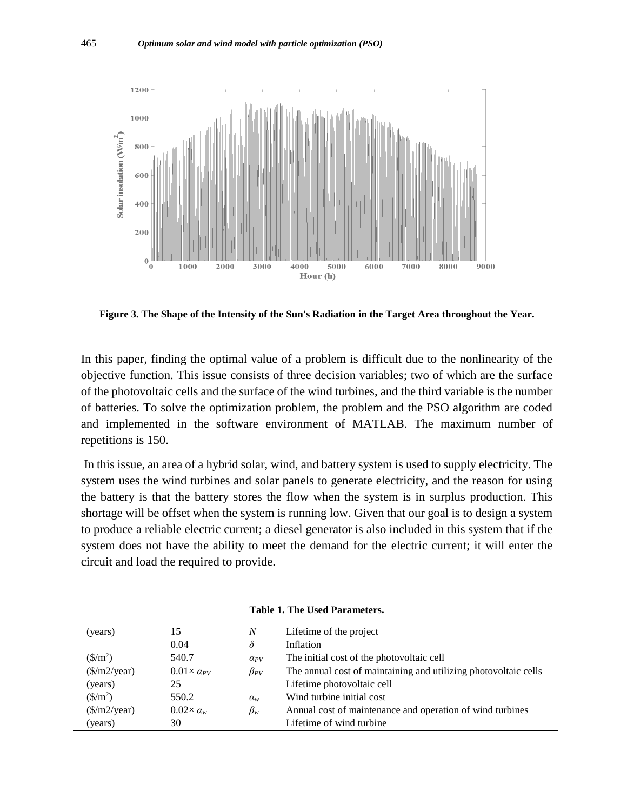

**Figure 3. The Shape of the Intensity of the Sun's Radiation in the Target Area throughout the Year.**

In this paper, finding the optimal value of a problem is difficult due to the nonlinearity of the objective function. This issue consists of three decision variables; two of which are the surface of the photovoltaic cells and the surface of the wind turbines, and the third variable is the number of batteries. To solve the optimization problem, the problem and the PSO algorithm are coded and implemented in the software environment of MATLAB. The maximum number of repetitions is 150.

In this issue, an area of a hybrid solar, wind, and battery system is used to supply electricity. The system uses the wind turbines and solar panels to generate electricity, and the reason for using the battery is that the battery stores the flow when the system is in surplus production. This shortage will be offset when the system is running low. Given that our goal is to design a system to produce a reliable electric current; a diesel generator is also included in this system that if the system does not have the ability to meet the demand for the electric current; it will enter the circuit and load the required to provide.

| (years)                         | 15                       | $\boldsymbol{N}$ | Lifetime of the project                                         |
|---------------------------------|--------------------------|------------------|-----------------------------------------------------------------|
|                                 | 0.04                     | $\delta$         | Inflation                                                       |
| $(\frac{\text{S}}{m^2})$        | 540.7                    | $\alpha_{PV}$    | The initial cost of the photovoltaic cell                       |
| $(\frac{\sqrt{m}}{2}$ /year)    | $0.01 \times a_{PV}$     | $\beta_{PV}$     | The annual cost of maintaining and utilizing photovoltaic cells |
| (years)                         | 25                       |                  | Lifetime photovoltaic cell                                      |
| $(\frac{\text{S}}{\text{m}^2})$ | 550.2                    | $\alpha_{w}$     | Wind turbine initial cost                                       |
| $(\frac{\sqrt{m}}{2}$ /year)    | $0.02 \times \alpha_{w}$ | $\beta_w$        | Annual cost of maintenance and operation of wind turbines       |
| (years)                         | 30                       |                  | Lifetime of wind turbine                                        |

**Table 1. The Used Parameters.**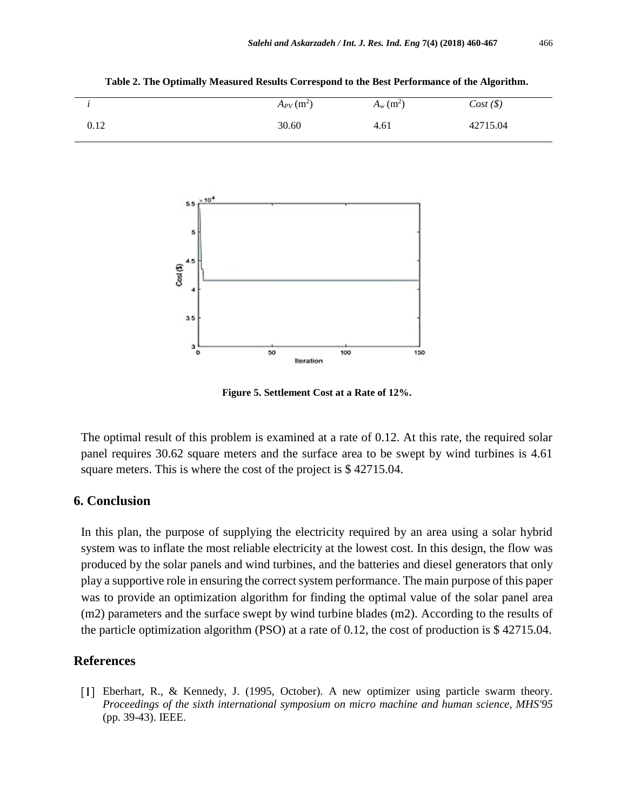*i*  $A_{PV}$  (m<sup>2</sup>)  $A_w$  (m<sup>2</sup>)  $Cost \, (\$)$ 0.12 30.60 4.61 42715.04

**Table 2. The Optimally Measured Results Correspond to the Best Performance of the Algorithm.**



**Figure 5. Settlement Cost at a Rate of 12%.**

The optimal result of this problem is examined at a rate of 0.12. At this rate, the required solar panel requires 30.62 square meters and the surface area to be swept by wind turbines is 4.61 square meters. This is where the cost of the project is \$ 42715.04.

## **6. Conclusion**

In this plan, the purpose of supplying the electricity required by an area using a solar hybrid system was to inflate the most reliable electricity at the lowest cost. In this design, the flow was produced by the solar panels and wind turbines, and the batteries and diesel generators that only play a supportive role in ensuring the correct system performance. The main purpose of this paper was to provide an optimization algorithm for finding the optimal value of the solar panel area (m2) parameters and the surface swept by wind turbine blades (m2). According to the results of the particle optimization algorithm (PSO) at a rate of 0.12, the cost of production is \$ 42715.04.

# **References**

Eberhart, R., & Kennedy, J. (1995, October). A new optimizer using particle swarm theory. *Proceedings of the sixth international symposium on micro machine and human science, MHS'95* (pp. 39-43). IEEE.